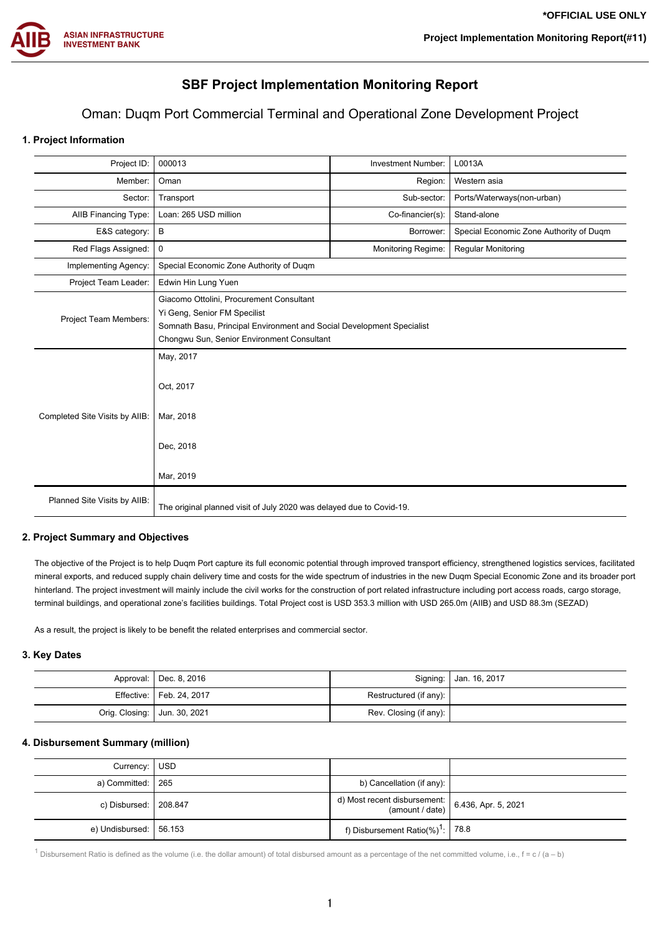

# **SBF Project Implementation Monitoring Report**

# Oman: Duqm Port Commercial Terminal and Operational Zone Development Project

# **1. Project Information**

| Project ID:                    | 000013<br>L0013A<br><b>Investment Number:</b>                                                                                                                                                   |                    |                                         |  |
|--------------------------------|-------------------------------------------------------------------------------------------------------------------------------------------------------------------------------------------------|--------------------|-----------------------------------------|--|
| Member:                        | Oman<br>Region:<br>Western asia                                                                                                                                                                 |                    |                                         |  |
| Sector:                        | Transport                                                                                                                                                                                       | Sub-sector:        | Ports/Waterways(non-urban)              |  |
| <b>AIIB Financing Type:</b>    | Loan: 265 USD million                                                                                                                                                                           | Co-financier(s):   | Stand-alone                             |  |
| E&S category:                  | B                                                                                                                                                                                               | Borrower:          | Special Economic Zone Authority of Duqm |  |
| Red Flags Assigned:            | 0                                                                                                                                                                                               | Monitoring Regime: | <b>Regular Monitoring</b>               |  |
| Implementing Agency:           | Special Economic Zone Authority of Duqm                                                                                                                                                         |                    |                                         |  |
| Project Team Leader:           | Edwin Hin Lung Yuen                                                                                                                                                                             |                    |                                         |  |
| Project Team Members:          | Giacomo Ottolini, Procurement Consultant<br>Yi Geng, Senior FM Specilist<br>Somnath Basu, Principal Environment and Social Development Specialist<br>Chongwu Sun, Senior Environment Consultant |                    |                                         |  |
| Completed Site Visits by AIIB: | Oct, 2017<br>Mar, 2018<br>Dec, 2018<br>Mar, 2019                                                                                                                                                |                    |                                         |  |
| Planned Site Visits by AllB:   | The original planned visit of July 2020 was delayed due to Covid-19.                                                                                                                            |                    |                                         |  |

## **2. Project Summary and Objectives**

The objective of the Project is to help Duqm Port capture its full economic potential through improved transport efficiency, strengthened logistics services, facilitated mineral exports, and reduced supply chain delivery time and costs for the wide spectrum of industries in the new Duqm Special Economic Zone and its broader port hinterland. The project investment will mainly include the civil works for the construction of port related infrastructure including port access roads, cargo storage, terminal buildings, and operational zone's facilities buildings. Total Project cost is USD 353.3 million with USD 265.0m (AIIB) and USD 88.3m (SEZAD)

As a result, the project is likely to be benefit the related enterprises and commercial sector.

## **3. Key Dates**

|                                | Approval:   Dec. 8, 2016   |                        | Signing:   Jan. 16, 2017 |
|--------------------------------|----------------------------|------------------------|--------------------------|
|                                | Effective:   Feb. 24, 2017 | Restructured (if any): |                          |
| Orig. Closing:   Jun. 30, 2021 |                            | Rev. Closing (if any): |                          |

#### **4. Disbursement Summary (million)**

| Currency: USD             |                                                                     |  |
|---------------------------|---------------------------------------------------------------------|--|
| a) Committed: $\vert$ 265 | b) Cancellation (if any):                                           |  |
| c) Disbursed:   208.847   | d) Most recent disbursement:<br>(amount / date) 6.436, Apr. 5, 2021 |  |
| e) Undisbursed: 56.153    | f) Disbursement Ratio(%) <sup>1</sup> : 78.8                        |  |

<sup>1</sup> Disbursement Ratio is defined as the volume (i.e. the dollar amount) of total disbursed amount as a percentage of the net committed volume, i.e.,  $f = c / (a - b)$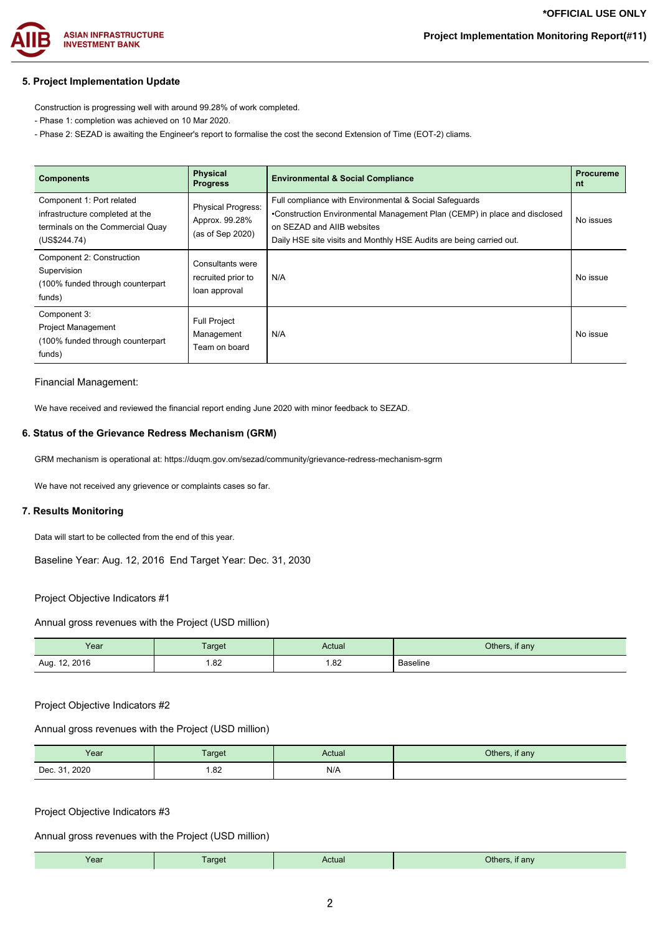

# **Project Implementation Monitoring Report(#11)**

## **5. Project Implementation Update**

Construction is progressing well with around 99.28% of work completed.

- Phase 1: completion was achieved on 10 Mar 2020.
- Phase 2: SEZAD is awaiting the Engineer's report to formalise the cost the second Extension of Time (EOT-2) cliams.

| <b>Components</b>                                                                                                | <b>Physical</b><br><b>Progress</b>                              | <b>Environmental &amp; Social Compliance</b>                                                                                                                                                                                             | <b>Procureme</b><br>nt |
|------------------------------------------------------------------------------------------------------------------|-----------------------------------------------------------------|------------------------------------------------------------------------------------------------------------------------------------------------------------------------------------------------------------------------------------------|------------------------|
| Component 1: Port related<br>infrastructure completed at the<br>terminals on the Commercial Quay<br>(US\$244.74) | <b>Physical Progress:</b><br>Approx. 99.28%<br>(as of Sep 2020) | Full compliance with Environmental & Social Safeguards<br>•Construction Environmental Management Plan (CEMP) in place and disclosed<br>on SEZAD and AIIB websites<br>Daily HSE site visits and Monthly HSE Audits are being carried out. | No issues              |
| Component 2: Construction<br>Supervision<br>(100% funded through counterpart<br>funds)                           | <b>Consultants were</b><br>recruited prior to<br>loan approval  | N/A                                                                                                                                                                                                                                      | No issue               |
| Component 3:<br><b>Project Management</b><br>(100% funded through counterpart<br>funds)                          | <b>Full Project</b><br>Management<br>Team on board              | N/A                                                                                                                                                                                                                                      | No issue               |

#### Financial Management:

We have received and reviewed the financial report ending June 2020 with minor feedback to SEZAD.

### **6. Status of the Grievance Redress Mechanism (GRM)**

GRM mechanism is operational at: https://duqm.gov.om/sezad/community/grievance-redress-mechanism-sgrm

We have not received any grievence or complaints cases so far.

#### **7. Results Monitoring**

Data will start to be collected from the end of this year.

Baseline Year: Aug. 12, 2016 End Target Year: Dec. 31, 2030

#### Project Objective Indicators #1

Annual gross revenues with the Project (USD million)

| Year             | Target | Actual | Others, if any  |
|------------------|--------|--------|-----------------|
| 12, 2016<br>Aug. | 1.82   | 1.82   | <b>Baseline</b> |

#### Project Objective Indicators #2

Annual gross revenues with the Project (USD million)

| Year          | <b>Target</b> | Actual | Others, if any |
|---------------|---------------|--------|----------------|
| Dec. 31, 2020 | 1.82          | N/A    |                |

#### Project Objective Indicators #3

Annual gross revenues with the Project (USD million)

|  | Year | arget | Actual | <b>Others</b><br>. if anv |
|--|------|-------|--------|---------------------------|
|--|------|-------|--------|---------------------------|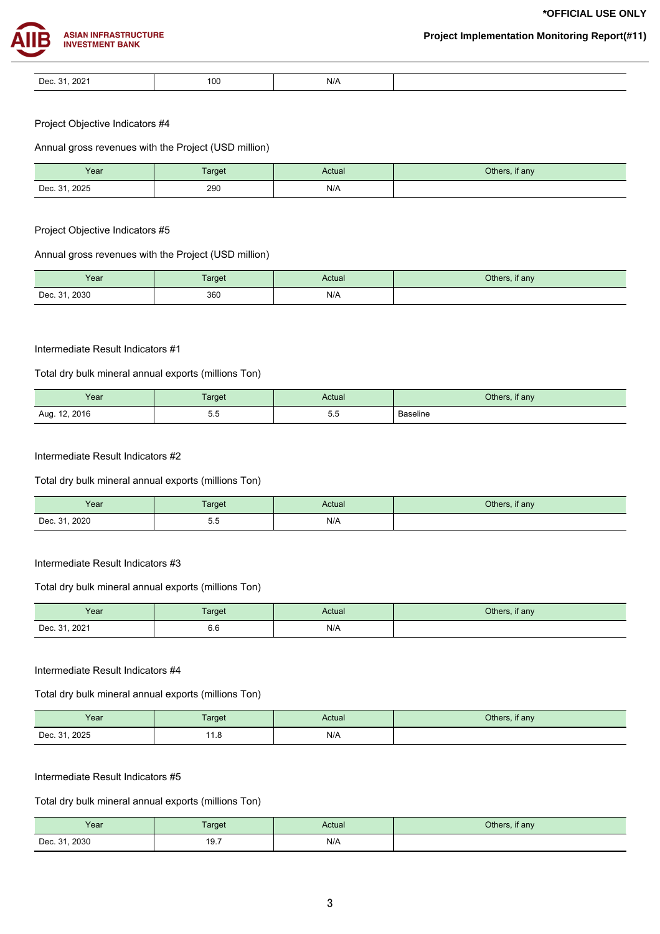**\*OFFICIAL USE ONLY**



| Dec. 31, 2021 |
|---------------|

Project Objective Indicators #4

Annual gross revenues with the Project (USD million)

| Year          | Target | Actual | Others, if any |
|---------------|--------|--------|----------------|
| Dec. 31, 2025 | 290    | N/A    |                |

Project Objective Indicators #5

## Annual gross revenues with the Project (USD million)

| Year          | <b>Target</b> | Actual | Others, if any |
|---------------|---------------|--------|----------------|
| Dec. 31, 2030 | 360           | N/A    |                |

#### Intermediate Result Indicators #1

## Total dry bulk mineral annual exports (millions Ton)

| Year               | <b>Target</b>    | Actual | Others, if any  |
|--------------------|------------------|--------|-----------------|
| . 12, 2016<br>Aug. | - -<br>ぃぃ<br>ບ.ບ | ບ.ບ    | <b>Baseline</b> |

## Intermediate Result Indicators #2

## Total dry bulk mineral annual exports (millions Ton)

| Year          | Target             | Actual | Others, if any |
|---------------|--------------------|--------|----------------|
| Dec. 31, 2020 | <u>. . </u><br>ບ.ບ | N/A    |                |

#### Intermediate Result Indicators #3

## Total dry bulk mineral annual exports (millions Ton)

| Year          | Target | Actual | Others, if any |
|---------------|--------|--------|----------------|
| Dec. 31, 2021 | 6.6    | N/A    |                |

#### Intermediate Result Indicators #4

Total dry bulk mineral annual exports (millions Ton)

| Year                           | Target  | Actual | Others, if any |
|--------------------------------|---------|--------|----------------|
| Dec. 31, 2025<br>$\sim$ $\sim$ | 11<br>. | N/A    |                |

### Intermediate Result Indicators #5

## Total dry bulk mineral annual exports (millions Ton)

| Year          | <b>Target</b> | Actual | Others, if any |
|---------------|---------------|--------|----------------|
| Dec. 31, 2030 | 19.7          | N/A    |                |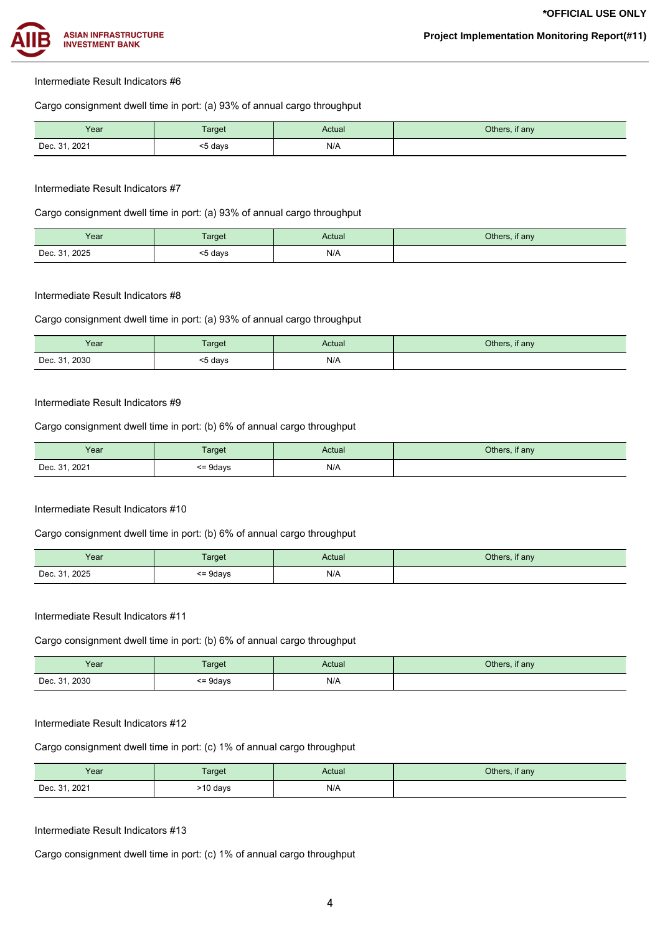

#### Intermediate Result Indicators #6

Cargo consignment dwell time in port: (a) 93% of annual cargo throughput

| Year          | Target  | Actual | Others, if any |
|---------------|---------|--------|----------------|
| Dec. 31, 2021 | <5 days | N/A    |                |

## Intermediate Result Indicators #7

Cargo consignment dwell time in port: (a) 93% of annual cargo throughput

| Year          | <b>Target</b> | Actual | Others, if any |
|---------------|---------------|--------|----------------|
| Dec. 31, 2025 | ≲5 days       | N/A    |                |

#### Intermediate Result Indicators #8

Cargo consignment dwell time in port: (a) 93% of annual cargo throughput

| Year          | <b>Target</b> | Actual | Others, if any |
|---------------|---------------|--------|----------------|
| Dec. 31, 2030 | <5 days       | N/A    |                |

### Intermediate Result Indicators #9

Cargo consignment dwell time in port: (b) 6% of annual cargo throughput

| Year          | <b>Target</b> | Actual | Others, if any |
|---------------|---------------|--------|----------------|
| Dec. 31, 2021 | <= 9days      | N/A    |                |

## Intermediate Result Indicators #10

Cargo consignment dwell time in port: (b) 6% of annual cargo throughput

| Year          | Target       | Actual | Others, if any |
|---------------|--------------|--------|----------------|
| Dec. 31, 2025 | $\leq$ 9days | N/A    |                |

#### Intermediate Result Indicators #11

Cargo consignment dwell time in port: (b) 6% of annual cargo throughput

| Year          | <b>Target</b> | Actual | Others, if any |
|---------------|---------------|--------|----------------|
| Dec. 31, 2030 | $\leq$ 9days  | N/A    |                |

## Intermediate Result Indicators #12

Cargo consignment dwell time in port: (c) 1% of annual cargo throughput

| Year          | Target   | Actual | Others, if any |
|---------------|----------|--------|----------------|
| Dec. 31, 2021 | >10 days | N/A    |                |

#### Intermediate Result Indicators #13

Cargo consignment dwell time in port: (c) 1% of annual cargo throughput